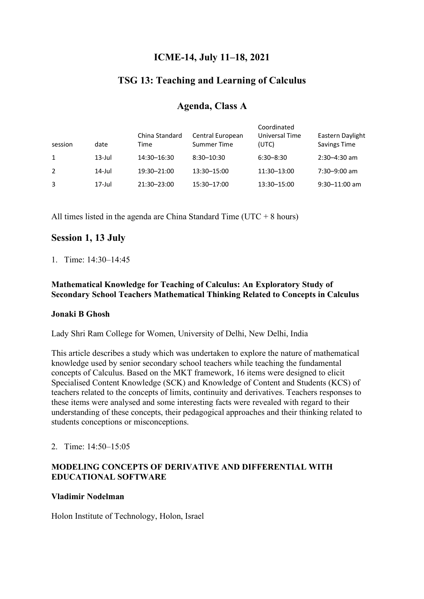# **ICME-14, July 11–18, 2021**

# **TSG 13: Teaching and Learning of Calculus**

| session | date      | China Standard<br>Time | Central European<br>Summer Time | -------------<br>Universal Time<br>(UTC) | Eastern Daylight<br>Savings Time |
|---------|-----------|------------------------|---------------------------------|------------------------------------------|----------------------------------|
| 1       | $13$ -Jul | 14:30-16:30            | $8:30 - 10:30$                  | $6:30 - 8:30$                            | $2:30 - 4:30$ am                 |
| 2       | $14$ -Jul | 19:30-21:00            | 13:30-15:00                     | 11:30-13:00                              | $7:30 - 9:00$ am                 |
| 3       | $17$ -Jul | 21:30-23:00            | 15:30-17:00                     | 13:30-15:00                              | $9:30 - 11:00$ am                |

# **Agenda, Class A**

Coordinated

All times listed in the agenda are China Standard Time ( $UTC + 8$  hours)

## **Session 1, 13 July**

1. Time: 14:30–14:45

**Mathematical Knowledge for Teaching of Calculus: An Exploratory Study of Secondary School Teachers Mathematical Thinking Related to Concepts in Calculus**

#### **Jonaki B Ghosh**

Lady Shri Ram College for Women, University of Delhi, New Delhi, India

This article describes a study which was undertaken to explore the nature of mathematical knowledge used by senior secondary school teachers while teaching the fundamental concepts of Calculus. Based on the MKT framework, 16 items were designed to elicit Specialised Content Knowledge (SCK) and Knowledge of Content and Students (KCS) of teachers related to the concepts of limits, continuity and derivatives. Teachers responses to these items were analysed and some interesting facts were revealed with regard to their understanding of these concepts, their pedagogical approaches and their thinking related to students conceptions or misconceptions.

#### 2. Time: 14:50–15:05

#### **MODELING CONCEPTS OF DERIVATIVE AND DIFFERENTIAL WITH EDUCATIONAL SOFTWARE**

#### **Vladimir Nodelman**

Holon Institute of Technology, Holon, Israel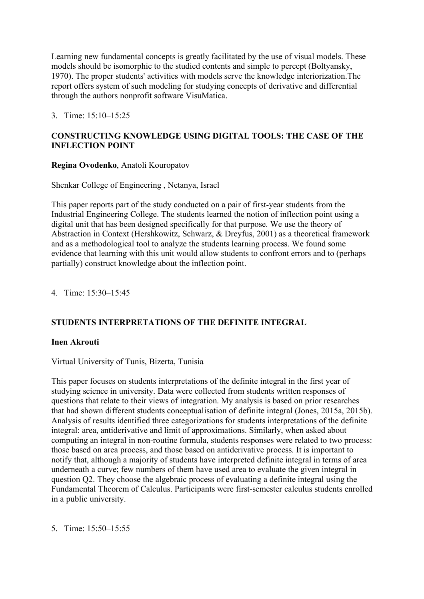Learning new fundamental concepts is greatly facilitated by the use of visual models. These models should be isomorphic to the studied contents and simple to percept (Boltyansky, 1970). The proper students' activities with models serve the knowledge interiorization.The report offers system of such modeling for studying concepts of derivative and differential through the authors nonprofit software VisuMatica.

3. Time: 15:10–15:25

## **CONSTRUCTING KNOWLEDGE USING DIGITAL TOOLS: THE CASE OF THE INFLECTION POINT**

**Regina Ovodenko**, Anatoli Kouropatov

Shenkar College of Engineering , Netanya, Israel

This paper reports part of the study conducted on a pair of first-year students from the Industrial Engineering College. The students learned the notion of inflection point using a digital unit that has been designed specifically for that purpose. We use the theory of Abstraction in Context (Hershkowitz, Schwarz, & Dreyfus, 2001) as a theoretical framework and as a methodological tool to analyze the students learning process. We found some evidence that learning with this unit would allow students to confront errors and to (perhaps partially) construct knowledge about the inflection point.

4. Time: 15:30–15:45

## **STUDENTS INTERPRETATIONS OF THE DEFINITE INTEGRAL**

#### **Inen Akrouti**

Virtual University of Tunis, Bizerta, Tunisia

This paper focuses on students interpretations of the definite integral in the first year of studying science in university. Data were collected from students written responses of questions that relate to their views of integration. My analysis is based on prior researches that had shown different students conceptualisation of definite integral (Jones, 2015a, 2015b). Analysis of results identified three categorizations for students interpretations of the definite integral: area, antiderivative and limit of approximations. Similarly, when asked about computing an integral in non-routine formula, students responses were related to two process: those based on area process, and those based on antiderivative process. It is important to notify that, although a majority of students have interpreted definite integral in terms of area underneath a curve; few numbers of them have used area to evaluate the given integral in question Q2. They choose the algebraic process of evaluating a definite integral using the Fundamental Theorem of Calculus. Participants were first-semester calculus students enrolled in a public university.

5. Time: 15:50–15:55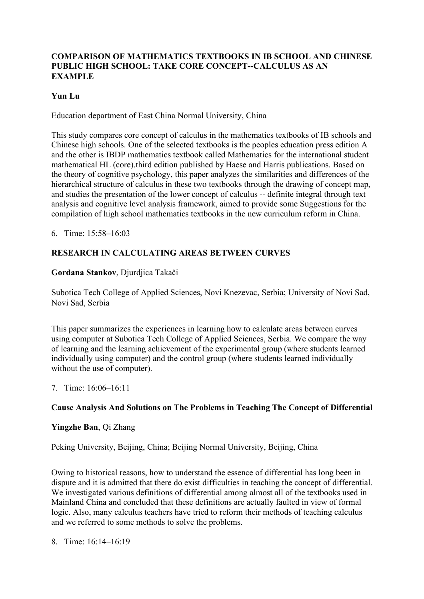## **COMPARISON OF MATHEMATICS TEXTBOOKS IN IB SCHOOL AND CHINESE PUBLIC HIGH SCHOOL: TAKE CORE CONCEPT--CALCULUS AS AN EXAMPLE**

## **Yun Lu**

Education department of East China Normal University, China

This study compares core concept of calculus in the mathematics textbooks of IB schools and Chinese high schools. One of the selected textbooks is the peoples education press edition A and the other is IBDP mathematics textbook called Mathematics for the international student mathematical HL (core).third edition published by Haese and Harris publications. Based on the theory of cognitive psychology, this paper analyzes the similarities and differences of the hierarchical structure of calculus in these two textbooks through the drawing of concept map, and studies the presentation of the lower concept of calculus -- definite integral through text analysis and cognitive level analysis framework, aimed to provide some Suggestions for the compilation of high school mathematics textbooks in the new curriculum reform in China.

6. Time: 15:58–16:03

## **RESEARCH IN CALCULATING AREAS BETWEEN CURVES**

#### **Gordana Stankov**, Djurdjica Takači

Subotica Tech College of Applied Sciences, Novi Knezevac, Serbia; University of Novi Sad, Novi Sad, Serbia

This paper summarizes the experiences in learning how to calculate areas between curves using computer at Subotica Tech College of Applied Sciences, Serbia. We compare the way of learning and the learning achievement of the experimental group (where students learned individually using computer) and the control group (where students learned individually without the use of computer).

7. Time: 16:06–16:11

## **Cause Analysis And Solutions on The Problems in Teaching The Concept of Differential**

#### **Yingzhe Ban**, Qi Zhang

Peking University, Beijing, China; Beijing Normal University, Beijing, China

Owing to historical reasons, how to understand the essence of differential has long been in dispute and it is admitted that there do exist difficulties in teaching the concept of differential. We investigated various definitions of differential among almost all of the textbooks used in Mainland China and concluded that these definitions are actually faulted in view of formal logic. Also, many calculus teachers have tried to reform their methods of teaching calculus and we referred to some methods to solve the problems.

8. Time: 16:14–16:19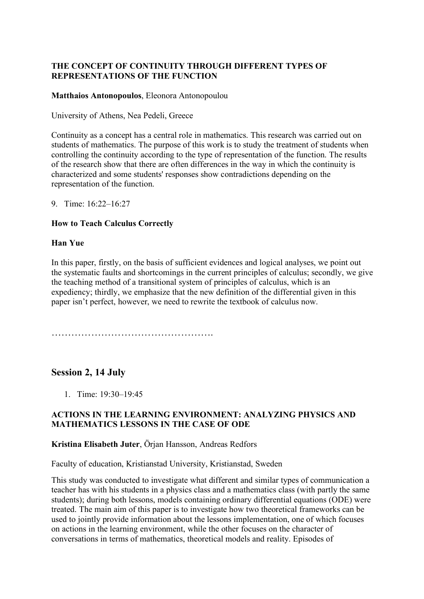## **THE CONCEPT OF CONTINUITY THROUGH DIFFERENT TYPES OF REPRESENTATIONS OF THE FUNCTION**

### **Matthaios Antonopoulos**, Eleonora Antonopoulou

University of Athens, Nea Pedeli, Greece

Continuity as a concept has a central role in mathematics. This research was carried out on students of mathematics. The purpose of this work is to study the treatment of students when controlling the continuity according to the type of representation of the function. The results of the research show that there are often differences in the way in which the continuity is characterized and some students' responses show contradictions depending on the representation of the function.

9. Time: 16:22–16:27

## **How to Teach Calculus Correctly**

#### **Han Yue**

In this paper, firstly, on the basis of sufficient evidences and logical analyses, we point out the systematic faults and shortcomings in the current principles of calculus; secondly, we give the teaching method of a transitional system of principles of calculus, which is an expediency; thirdly, we emphasize that the new definition of the differential given in this paper isn't perfect, however, we need to rewrite the textbook of calculus now.

………………………………………….

## **Session 2, 14 July**

1. Time: 19:30–19:45

#### **ACTIONS IN THE LEARNING ENVIRONMENT: ANALYZING PHYSICS AND MATHEMATICS LESSONS IN THE CASE OF ODE**

#### **Kristina Elisabeth Juter**, Örjan Hansson, Andreas Redfors

Faculty of education, Kristianstad University, Kristianstad, Sweden

This study was conducted to investigate what different and similar types of communication a teacher has with his students in a physics class and a mathematics class (with partly the same students); during both lessons, models containing ordinary differential equations (ODE) were treated. The main aim of this paper is to investigate how two theoretical frameworks can be used to jointly provide information about the lessons implementation, one of which focuses on actions in the learning environment, while the other focuses on the character of conversations in terms of mathematics, theoretical models and reality. Episodes of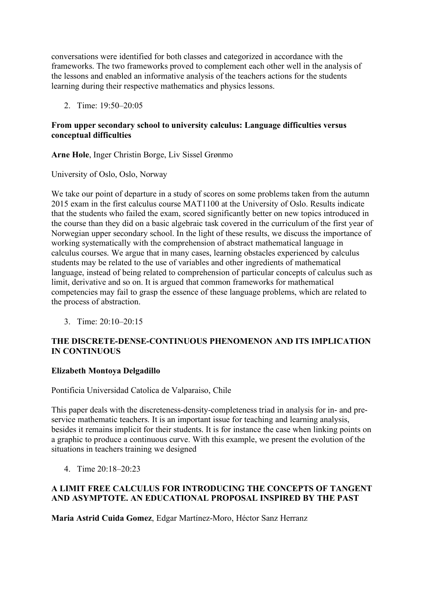conversations were identified for both classes and categorized in accordance with the frameworks. The two frameworks proved to complement each other well in the analysis of the lessons and enabled an informative analysis of the teachers actions for the students learning during their respective mathematics and physics lessons.

2. Time: 19:50–20:05

## **From upper secondary school to university calculus: Language difficulties versus conceptual difficulties**

**Arne Hole**, Inger Christin Borge, Liv Sissel Grønmo

University of Oslo, Oslo, Norway

We take our point of departure in a study of scores on some problems taken from the autumn 2015 exam in the first calculus course MAT1100 at the University of Oslo. Results indicate that the students who failed the exam, scored significantly better on new topics introduced in the course than they did on a basic algebraic task covered in the curriculum of the first year of Norwegian upper secondary school. In the light of these results, we discuss the importance of working systematically with the comprehension of abstract mathematical language in calculus courses. We argue that in many cases, learning obstacles experienced by calculus students may be related to the use of variables and other ingredients of mathematical language, instead of being related to comprehension of particular concepts of calculus such as limit, derivative and so on. It is argued that common frameworks for mathematical competencies may fail to grasp the essence of these language problems, which are related to the process of abstraction.

3. Time: 20:10–20:15

## **THE DISCRETE-DENSE-CONTINUOUS PHENOMENON AND ITS IMPLICATION IN CONTINUOUS**

## **Elizabeth Montoya Delgadillo**

Pontificia Universidad Catolica de Valparaiso, Chile

This paper deals with the discreteness-density-completeness triad in analysis for in- and preservice mathematic teachers. It is an important issue for teaching and learning analysis, besides it remains implicit for their students. It is for instance the case when linking points on a graphic to produce a continuous curve. With this example, we present the evolution of the situations in teachers training we designed

4. Time 20:18–20:23

## **A LIMIT FREE CALCULUS FOR INTRODUCING THE CONCEPTS OF TANGENT AND ASYMPTOTE. AN EDUCATIONAL PROPOSAL INSPIRED BY THE PAST**

**Maria Astrid Cuida Gomez**, Edgar Martínez-Moro, Héctor Sanz Herranz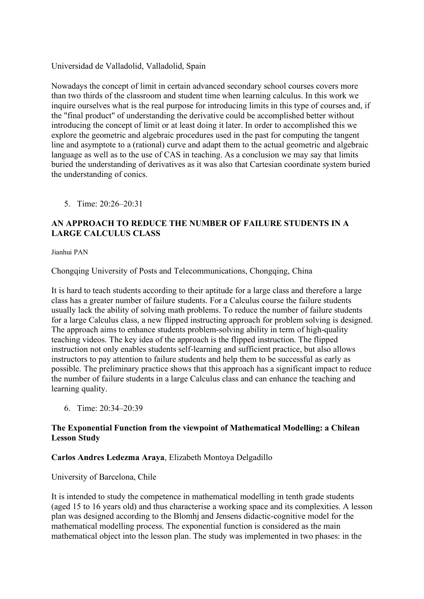Universidad de Valladolid, Valladolid, Spain

Nowadays the concept of limit in certain advanced secondary school courses covers more than two thirds of the classroom and student time when learning calculus. In this work we inquire ourselves what is the real purpose for introducing limits in this type of courses and, if the "final product" of understanding the derivative could be accomplished better without introducing the concept of limit or at least doing it later. In order to accomplished this we explore the geometric and algebraic procedures used in the past for computing the tangent line and asymptote to a (rational) curve and adapt them to the actual geometric and algebraic language as well as to the use of CAS in teaching. As a conclusion we may say that limits buried the understanding of derivatives as it was also that Cartesian coordinate system buried the understanding of conics.

5. Time: 20:26–20:31

## **AN APPROACH TO REDUCE THE NUMBER OF FAILURE STUDENTS IN A LARGE CALCULUS CLASS**

Jianhui PAN

Chongqing University of Posts and Telecommunications, Chongqing, China

It is hard to teach students according to their aptitude for a large class and therefore a large class has a greater number of failure students. For a Calculus course the failure students usually lack the ability of solving math problems. To reduce the number of failure students for a large Calculus class, a new flipped instructing approach for problem solving is designed. The approach aims to enhance students problem-solving ability in term of high-quality teaching videos. The key idea of the approach is the flipped instruction. The flipped instruction not only enables students self-learning and sufficient practice, but also allows instructors to pay attention to failure students and help them to be successful as early as possible. The preliminary practice shows that this approach has a significant impact to reduce the number of failure students in a large Calculus class and can enhance the teaching and learning quality.

6. Time: 20:34–20:39

## **The Exponential Function from the viewpoint of Mathematical Modelling: a Chilean Lesson Study**

#### **Carlos Andres Ledezma Araya**, Elizabeth Montoya Delgadillo

University of Barcelona, Chile

It is intended to study the competence in mathematical modelling in tenth grade students (aged 15 to 16 years old) and thus characterise a working space and its complexities. A lesson plan was designed according to the Blomhj and Jensens didactic-cognitive model for the mathematical modelling process. The exponential function is considered as the main mathematical object into the lesson plan. The study was implemented in two phases: in the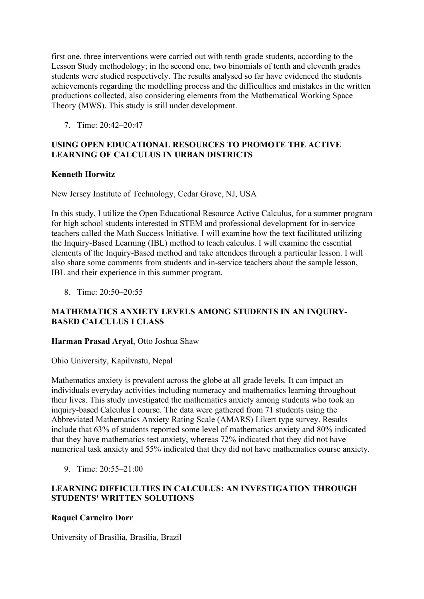first one, three interventions were carried out with tenth grade students, according to the Lesson Study methodology; in the second one, two binomials of tenth and eleventh grades students were studied respectively. The results analysed so far have evidenced the students achievements regarding the modelling process and the difficulties and mistakes in the written productions collected, also considering elements from the Mathematical Working Space Theory (MWS). This study is still under development.

7. Time: 20:42–20:47

## **USING OPEN EDUCATIONAL RESOURCES TO PROMOTE THE ACTIVE LEARNING OF CALCULUS IN URBAN DISTRICTS**

## **Kenneth Horwitz**

New Jersey Institute of Technology, Cedar Grove, NJ, USA

In this study, I utilize the Open Educational Resource Active Calculus, for a summer program for high school students interested in STEM and professional development for in-service teachers called the Math Success Initiative. I will examine how the text facilitated utilizing the Inquiry-Based Learning (IBL) method to teach calculus. I will examine the essential elements of the Inquiry-Based method and take attendees through a particular lesson. I will also share some comments from students and in-service teachers about the sample lesson, IBL and their experience in this summer program.

8. Time: 20:50–20:55

## **MATHEMATICS ANXIETY LEVELS AMONG STUDENTS IN AN INQUIRY-BASED CALCULUS I CLASS**

## **Harman Prasad Aryal**, Otto Joshua Shaw

Ohio University, Kapilvastu, Nepal

Mathematics anxiety is prevalent across the globe at all grade levels. It can impact an individuals everyday activities including numeracy and mathematics learning throughout their lives. This study investigated the mathematics anxiety among students who took an inquiry-based Calculus I course. The data were gathered from 71 students using the Abbreviated Mathematics Anxiety Rating Scale (AMARS) Likert type survey. Results include that 63% of students reported some level of mathematics anxiety and 80% indicated that they have mathematics test anxiety, whereas 72% indicated that they did not have numerical task anxiety and 55% indicated that they did not have mathematics course anxiety.

9. Time: 20:55–21:00

## **LEARNING DIFFICULTIES IN CALCULUS: AN INVESTIGATION THROUGH STUDENTS' WRITTEN SOLUTIONS**

## **Raquel Carneiro Dorr**

University of Brasilia, Brasilia, Brazil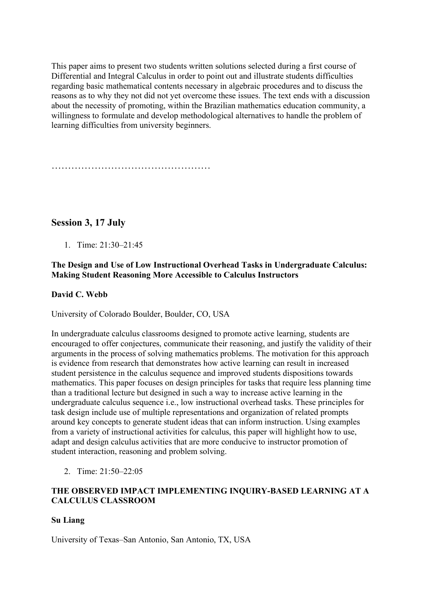This paper aims to present two students written solutions selected during a first course of Differential and Integral Calculus in order to point out and illustrate students difficulties regarding basic mathematical contents necessary in algebraic procedures and to discuss the reasons as to why they not did not yet overcome these issues. The text ends with a discussion about the necessity of promoting, within the Brazilian mathematics education community, a willingness to formulate and develop methodological alternatives to handle the problem of learning difficulties from university beginners.

…………………………………………

# **Session 3, 17 July**

1. Time: 21:30–21:45

## **The Design and Use of Low Instructional Overhead Tasks in Undergraduate Calculus: Making Student Reasoning More Accessible to Calculus Instructors**

#### **David C. Webb**

University of Colorado Boulder, Boulder, CO, USA

In undergraduate calculus classrooms designed to promote active learning, students are encouraged to offer conjectures, communicate their reasoning, and justify the validity of their arguments in the process of solving mathematics problems. The motivation for this approach is evidence from research that demonstrates how active learning can result in increased student persistence in the calculus sequence and improved students dispositions towards mathematics. This paper focuses on design principles for tasks that require less planning time than a traditional lecture but designed in such a way to increase active learning in the undergraduate calculus sequence i.e., low instructional overhead tasks. These principles for task design include use of multiple representations and organization of related prompts around key concepts to generate student ideas that can inform instruction. Using examples from a variety of instructional activities for calculus, this paper will highlight how to use, adapt and design calculus activities that are more conducive to instructor promotion of student interaction, reasoning and problem solving.

2. Time: 21:50–22:05

## **THE OBSERVED IMPACT IMPLEMENTING INQUIRY-BASED LEARNING AT A CALCULUS CLASSROOM**

## **Su Liang**

University of Texas–San Antonio, San Antonio, TX, USA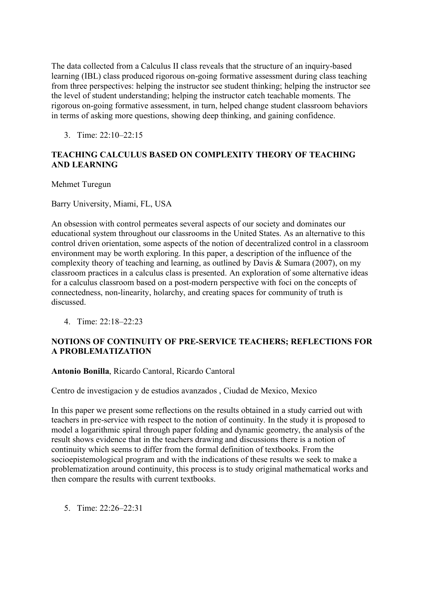The data collected from a Calculus II class reveals that the structure of an inquiry-based learning (IBL) class produced rigorous on-going formative assessment during class teaching from three perspectives: helping the instructor see student thinking; helping the instructor see the level of student understanding; helping the instructor catch teachable moments. The rigorous on-going formative assessment, in turn, helped change student classroom behaviors in terms of asking more questions, showing deep thinking, and gaining confidence.

3. Time: 22:10–22:15

## **TEACHING CALCULUS BASED ON COMPLEXITY THEORY OF TEACHING AND LEARNING**

Mehmet Turegun

Barry University, Miami, FL, USA

An obsession with control permeates several aspects of our society and dominates our educational system throughout our classrooms in the United States. As an alternative to this control driven orientation, some aspects of the notion of decentralized control in a classroom environment may be worth exploring. In this paper, a description of the influence of the complexity theory of teaching and learning, as outlined by Davis & Sumara (2007), on my classroom practices in a calculus class is presented. An exploration of some alternative ideas for a calculus classroom based on a post-modern perspective with foci on the concepts of connectedness, non-linearity, holarchy, and creating spaces for community of truth is discussed.

4. Time: 22:18–22:23

## **NOTIONS OF CONTINUITY OF PRE-SERVICE TEACHERS; REFLECTIONS FOR A PROBLEMATIZATION**

#### **Antonio Bonilla**, Ricardo Cantoral, Ricardo Cantoral

Centro de investigacion y de estudios avanzados , Ciudad de Mexico, Mexico

In this paper we present some reflections on the results obtained in a study carried out with teachers in pre-service with respect to the notion of continuity. In the study it is proposed to model a logarithmic spiral through paper folding and dynamic geometry, the analysis of the result shows evidence that in the teachers drawing and discussions there is a notion of continuity which seems to differ from the formal definition of textbooks. From the socioepistemological program and with the indications of these results we seek to make a problematization around continuity, this process is to study original mathematical works and then compare the results with current textbooks.

5. Time: 22:26–22:31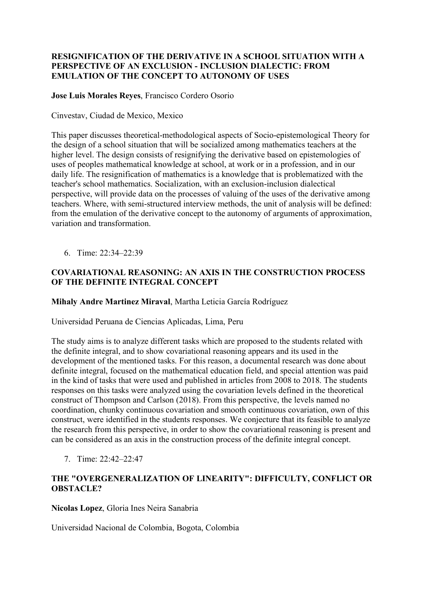## **RESIGNIFICATION OF THE DERIVATIVE IN A SCHOOL SITUATION WITH A PERSPECTIVE OF AN EXCLUSION - INCLUSION DIALECTIC: FROM EMULATION OF THE CONCEPT TO AUTONOMY OF USES**

### **Jose Luis Morales Reyes**, Francisco Cordero Osorio

Cinvestav, Ciudad de Mexico, Mexico

This paper discusses theoretical-methodological aspects of Socio-epistemological Theory for the design of a school situation that will be socialized among mathematics teachers at the higher level. The design consists of resignifying the derivative based on epistemologies of uses of peoples mathematical knowledge at school, at work or in a profession, and in our daily life. The resignification of mathematics is a knowledge that is problematized with the teacher's school mathematics. Socialization, with an exclusion-inclusion dialectical perspective, will provide data on the processes of valuing of the uses of the derivative among teachers. Where, with semi-structured interview methods, the unit of analysis will be defined: from the emulation of the derivative concept to the autonomy of arguments of approximation, variation and transformation.

6. Time: 22:34–22:39

## **COVARIATIONAL REASONING: AN AXIS IN THE CONSTRUCTION PROCESS OF THE DEFINITE INTEGRAL CONCEPT**

**Mihaly Andre Martinez Miraval**, Martha Leticia García Rodríguez

Universidad Peruana de Ciencias Aplicadas, Lima, Peru

The study aims is to analyze different tasks which are proposed to the students related with the definite integral, and to show covariational reasoning appears and its used in the development of the mentioned tasks. For this reason, a documental research was done about definite integral, focused on the mathematical education field, and special attention was paid in the kind of tasks that were used and published in articles from 2008 to 2018. The students responses on this tasks were analyzed using the covariation levels defined in the theoretical construct of Thompson and Carlson (2018). From this perspective, the levels named no coordination, chunky continuous covariation and smooth continuous covariation, own of this construct, were identified in the students responses. We conjecture that its feasible to analyze the research from this perspective, in order to show the covariational reasoning is present and can be considered as an axis in the construction process of the definite integral concept.

7. Time: 22:42–22:47

## **THE "OVERGENERALIZATION OF LINEARITY": DIFFICULTY, CONFLICT OR OBSTACLE?**

**Nicolas Lopez**, Gloria Ines Neira Sanabria

Universidad Nacional de Colombia, Bogota, Colombia